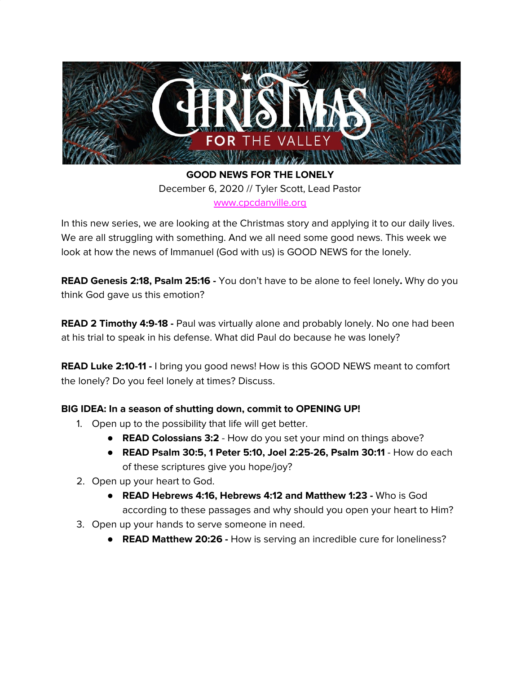

**GOOD NEWS FOR THE LONELY** December 6, 2020 // Tyler Scott, Lead Pastor [www.cpcdanville.org](http://www.cpcdanville.org/)

In this new series, we are looking at the Christmas story and applying it to our daily lives. We are all struggling with something. And we all need some good news. This week we look at how the news of Immanuel (God with us) is GOOD NEWS for the lonely.

**READ Genesis 2:18, Psalm 25:16 -** You don't have to be alone to feel lonely**.** Why do you think God gave us this emotion?

**READ 2 Timothy 4:9-18 -** Paul was virtually alone and probably lonely. No one had been at his trial to speak in his defense. What did Paul do because he was lonely?

**READ Luke 2:10-11 -** I bring you good news! How is this GOOD NEWS meant to comfort the lonely? Do you feel lonely at times? Discuss.

## **BIG IDEA: In a season of shutting down, commit to OPENING UP!**

- 1. Open up to the possibility that life will get better.
	- **READ Colossians 3:2** How do you set your mind on things above?
	- **READ Psalm 30:5, 1 Peter 5:10, Joel 2:25-26, Psalm 30:11** How do each of these scriptures give you hope/joy?
- 2. Open up your heart to God.
	- **READ Hebrews 4:16, Hebrews 4:12 and Matthew 1:23 -** Who is God according to these passages and why should you open your heart to Him?
- 3. Open up your hands to serve someone in need.
	- **● READ Matthew 20:26 -** How is serving an incredible cure for loneliness?